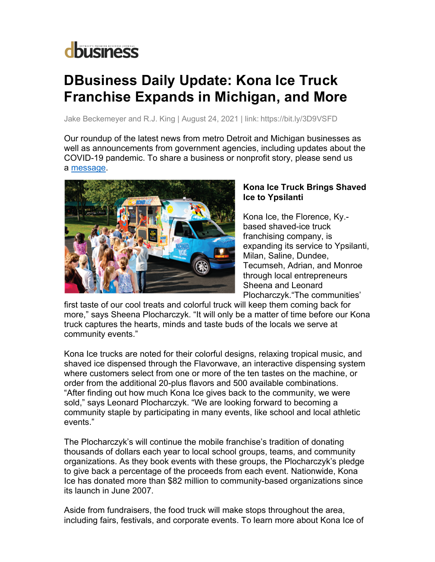## **d**business

## **DBusiness Daily Update: Kona Ice Truck Franchise Expands in Michigan, and More**

Jake Beckemeyer and R.J. King | August 24, 2021 | link: https://bit.ly/3D9VSFD

Our roundup of the latest news from metro Detroit and Michigan businesses as well as announcements from government agencies, including updates about the COVID-19 pandemic. To share a business or nonprofit story, please send us a message.



## **Kona Ice Truck Brings Shaved Ice to Ypsilanti**

Kona Ice, the Florence, Ky. based shaved-ice truck franchising company, is expanding its service to Ypsilanti, Milan, Saline, Dundee, Tecumseh, Adrian, and Monroe through local entrepreneurs Sheena and Leonard Plocharczyk."The communities'

first taste of our cool treats and colorful truck will keep them coming back for more," says Sheena Plocharczyk. "It will only be a matter of time before our Kona truck captures the hearts, minds and taste buds of the locals we serve at community events."

Kona Ice trucks are noted for their colorful designs, relaxing tropical music, and shaved ice dispensed through the Flavorwave, an interactive dispensing system where customers select from one or more of the ten tastes on the machine, or order from the additional 20-plus flavors and 500 available combinations. "After finding out how much Kona Ice gives back to the community, we were sold," says Leonard Plocharczyk. "We are looking forward to becoming a community staple by participating in many events, like school and local athletic events."

The Plocharczyk's will continue the mobile franchise's tradition of donating thousands of dollars each year to local school groups, teams, and community organizations. As they book events with these groups, the Plocharczyk's pledge to give back a percentage of the proceeds from each event. Nationwide, Kona Ice has donated more than \$82 million to community-based organizations since its launch in June 2007.

Aside from fundraisers, the food truck will make stops throughout the area, including fairs, festivals, and corporate events. To learn more about Kona Ice of